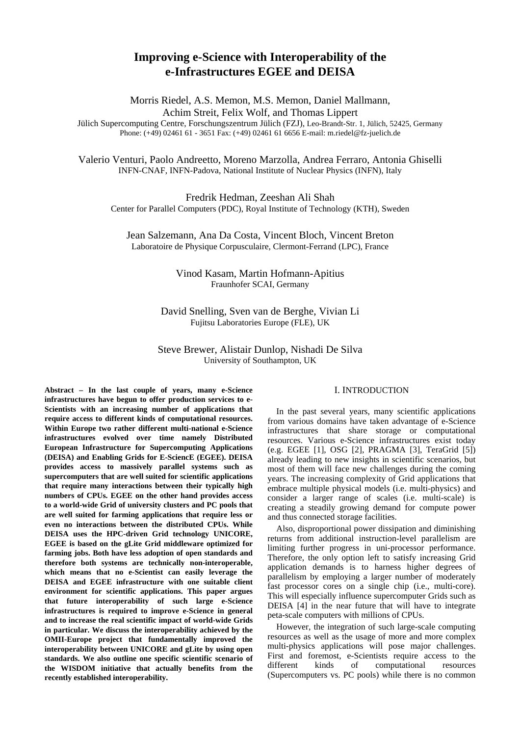# **Improving e-Science with Interoperability of the e-Infrastructures EGEE and DEISA**

Morris Riedel, A.S. Memon, M.S. Memon, Daniel Mallmann, Achim Streit, Felix Wolf, and Thomas Lippert Jülich Supercomputing Centre, Forschungszentrum Jülich (FZJ), Leo-Brandt-Str. 1, Jülich, 52425, Germany Phone: (+49) 02461 61 - 3651 Fax: (+49) 02461 61 6656 E-mail: m.riedel@fz-juelich.de

Valerio Venturi, Paolo Andreetto, Moreno Marzolla, Andrea Ferraro, Antonia Ghiselli INFN-CNAF, INFN-Padova, National Institute of Nuclear Physics (INFN), Italy

Fredrik Hedman, Zeeshan Ali Shah Center for Parallel Computers (PDC), Royal Institute of Technology (KTH), Sweden

Jean Salzemann, Ana Da Costa, Vincent Bloch, Vincent Breton Laboratoire de Physique Corpusculaire, Clermont-Ferrand (LPC), France

# Vinod Kasam, Martin Hofmann-Apitius Fraunhofer SCAI, Germany

David Snelling, Sven van de Berghe, Vivian Li Fujitsu Laboratories Europe (FLE), UK

Steve Brewer, Alistair Dunlop, Nishadi De Silva University of Southampton, UK

**Abstract – In the last couple of years, many e-Science infrastructures have begun to offer production services to e-Scientists with an increasing number of applications that require access to different kinds of computational resources. Within Europe two rather different multi-national e-Science infrastructures evolved over time namely Distributed European Infrastructure for Supercomputing Applications (DEISA) and Enabling Grids for E-SciencE (EGEE). DEISA provides access to massively parallel systems such as supercomputers that are well suited for scientific applications that require many interactions between their typically high numbers of CPUs. EGEE on the other hand provides access to a world-wide Grid of university clusters and PC pools that are well suited for farming applications that require less or even no interactions between the distributed CPUs. While DEISA uses the HPC-driven Grid technology UNICORE, EGEE is based on the gLite Grid middleware optimized for farming jobs. Both have less adoption of open standards and therefore both systems are technically non-interoperable, which means that no e-Scientist can easily leverage the DEISA and EGEE infrastructure with one suitable client environment for scientific applications. This paper argues that future interoperability of such large e-Science infrastructures is required to improve e-Science in general and to increase the real scientific impact of world-wide Grids in particular. We discuss the interoperability achieved by the OMII-Europe project that fundamentally improved the interoperability between UNICORE and gLite by using open standards. We also outline one specific scientific scenario of the WISDOM initiative that actually benefits from the recently established interoperability.** 

### I. INTRODUCTION

In the past several years, many scientific applications from various domains have taken advantage of e-Science infrastructures that share storage or computational resources. Various e-Science infrastructures exist today (e.g. EGEE [1], OSG [2], PRAGMA [3], TeraGrid [5]) already leading to new insights in scientific scenarios, but most of them will face new challenges during the coming years. The increasing complexity of Grid applications that embrace multiple physical models (i.e. multi-physics) and consider a larger range of scales (i.e. multi-scale) is creating a steadily growing demand for compute power and thus connected storage facilities.

Also, disproportional power dissipation and diminishing returns from additional instruction-level parallelism are limiting further progress in uni-processor performance. Therefore, the only option left to satisfy increasing Grid application demands is to harness higher degrees of parallelism by employing a larger number of moderately fast processor cores on a single chip (i.e., multi-core). This will especially influence supercomputer Grids such as DEISA [4] in the near future that will have to integrate peta-scale computers with millions of CPUs.

However, the integration of such large-scale computing resources as well as the usage of more and more complex multi-physics applications will pose major challenges. First and foremost, e-Scientists require access to the different kinds of computational resources (Supercomputers vs. PC pools) while there is no common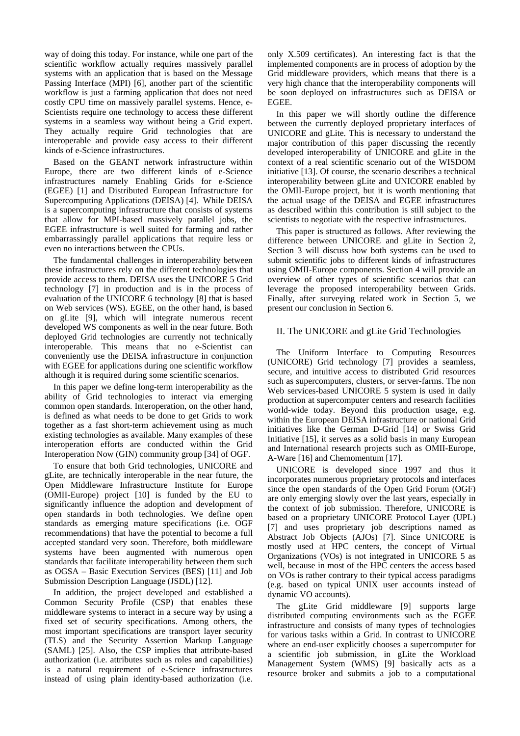way of doing this today. For instance, while one part of the scientific workflow actually requires massively parallel systems with an application that is based on the Message Passing Interface (MPI) [6], another part of the scientific workflow is just a farming application that does not need costly CPU time on massively parallel systems. Hence, e-Scientists require one technology to access these different systems in a seamless way without being a Grid expert. They actually require Grid technologies that are interoperable and provide easy access to their different kinds of e-Science infrastructures.

Based on the GEANT network infrastructure within Europe, there are two different kinds of e-Science infrastructures namely Enabling Grids for e-Science (EGEE) [1] and Distributed European Infrastructure for Supercomputing Applications (DEISA) [4]. While DEISA is a supercomputing infrastructure that consists of systems that allow for MPI-based massively parallel jobs, the EGEE infrastructure is well suited for farming and rather embarrassingly parallel applications that require less or even no interactions between the CPUs.

The fundamental challenges in interoperability between these infrastructures rely on the different technologies that provide access to them. DEISA uses the UNICORE 5 Grid technology [7] in production and is in the process of evaluation of the UNICORE 6 technology [8] that is based on Web services (WS). EGEE, on the other hand, is based on gLite [9], which will integrate numerous recent developed WS components as well in the near future. Both deployed Grid technologies are currently not technically interoperable. This means that no e-Scientist can conveniently use the DEISA infrastructure in conjunction with EGEE for applications during one scientific workflow although it is required during some scientific scenarios.

In this paper we define long-term interoperability as the ability of Grid technologies to interact via emerging common open standards. Interoperation, on the other hand, is defined as what needs to be done to get Grids to work together as a fast short-term achievement using as much existing technologies as available. Many examples of these interoperation efforts are conducted within the Grid Interoperation Now (GIN) community group [34] of OGF.

To ensure that both Grid technologies, UNICORE and gLite, are technically interoperable in the near future, the Open Middleware Infrastructure Institute for Europe (OMII-Europe) project [10] is funded by the EU to significantly influence the adoption and development of open standards in both technologies. We define open standards as emerging mature specifications (i.e. OGF recommendations) that have the potential to become a full accepted standard very soon. Therefore, both middleware systems have been augmented with numerous open standards that facilitate interoperability between them such as OGSA – Basic Execution Services (BES) [11] and Job Submission Description Language (JSDL) [12].

In addition, the project developed and established a Common Security Profile (CSP) that enables these middleware systems to interact in a secure way by using a fixed set of security specifications. Among others, the most important specifications are transport layer security (TLS) and the Security Assertion Markup Language (SAML) [25]. Also, the CSP implies that attribute-based authorization (i.e. attributes such as roles and capabilities) is a natural requirement of e-Science infrastructures instead of using plain identity-based authorization (i.e. only X.509 certificates). An interesting fact is that the implemented components are in process of adoption by the Grid middleware providers, which means that there is a very high chance that the interoperability components will be soon deployed on infrastructures such as DEISA or EGEE.

In this paper we will shortly outline the difference between the currently deployed proprietary interfaces of UNICORE and gLite. This is necessary to understand the major contribution of this paper discussing the recently developed interoperability of UNICORE and gLite in the context of a real scientific scenario out of the WISDOM initiative [13]. Of course, the scenario describes a technical interoperability between gLite and UNICORE enabled by the OMII-Europe project, but it is worth mentioning that the actual usage of the DEISA and EGEE infrastructures as described within this contribution is still subject to the scientists to negotiate with the respective infrastructures.

This paper is structured as follows. After reviewing the difference between UNICORE and gLite in Section 2, Section 3 will discuss how both systems can be used to submit scientific jobs to different kinds of infrastructures using OMII-Europe components. Section 4 will provide an overview of other types of scientific scenarios that can leverage the proposed interoperability between Grids. Finally, after surveying related work in Section 5, we present our conclusion in Section 6.

# II. The UNICORE and gLite Grid Technologies

The Uniform Interface to Computing Resources (UNICORE) Grid technology [7] provides a seamless, secure, and intuitive access to distributed Grid resources such as supercomputers, clusters, or server-farms. The non Web services-based UNICORE 5 system is used in daily production at supercomputer centers and research facilities world-wide today. Beyond this production usage, e.g. within the European DEISA infrastructure or national Grid initiatives like the German D-Grid [14] or Swiss Grid Initiative [15], it serves as a solid basis in many European and International research projects such as OMII-Europe, A-Ware [16] and Chemomentum [17].

UNICORE is developed since 1997 and thus it incorporates numerous proprietary protocols and interfaces since the open standards of the Open Grid Forum (OGF) are only emerging slowly over the last years, especially in the context of job submission. Therefore, UNICORE is based on a proprietary UNICORE Protocol Layer (UPL) [7] and uses proprietary job descriptions named as Abstract Job Objects (AJOs) [7]. Since UNICORE is mostly used at HPC centers, the concept of Virtual Organizations (VOs) is not integrated in UNICORE 5 as well, because in most of the HPC centers the access based on VOs is rather contrary to their typical access paradigms (e.g. based on typical UNIX user accounts instead of dynamic VO accounts).

The gLite Grid middleware [9] supports large distributed computing environments such as the EGEE infrastructure and consists of many types of technologies for various tasks within a Grid. In contrast to UNICORE where an end-user explicitly chooses a supercomputer for a scientific job submission, in gLite the Workload Management System (WMS) [9] basically acts as a resource broker and submits a job to a computational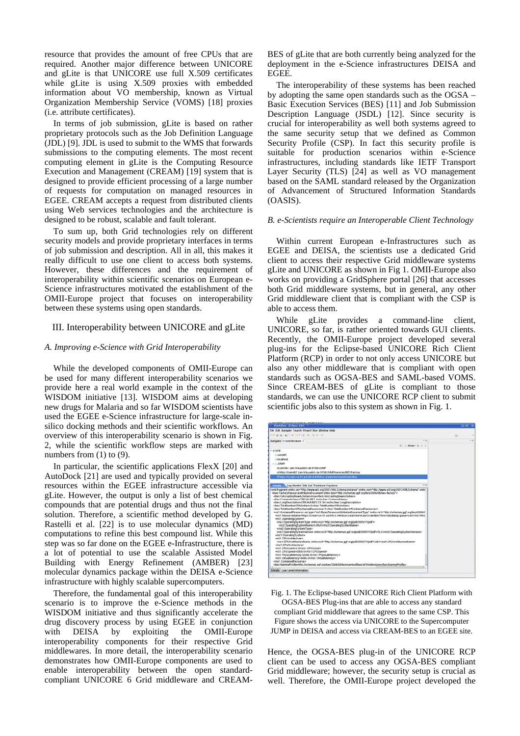resource that provides the amount of free CPUs that are required. Another major difference between UNICORE and gLite is that UNICORE use full X.509 certificates while gLite is using X.509 proxies with embedded information about VO membership, known as Virtual Organization Membership Service (VOMS) [18] proxies (i.e. attribute certificates).

In terms of job submission, gLite is based on rather proprietary protocols such as the Job Definition Language (JDL) [9]. JDL is used to submit to the WMS that forwards submissions to the computing elements. The most recent computing element in gLite is the Computing Resource Execution and Management (CREAM) [19] system that is designed to provide efficient processing of a large number of requests for computation on managed resources in EGEE. CREAM accepts a request from distributed clients using Web services technologies and the architecture is designed to be robust, scalable and fault tolerant.

To sum up, both Grid technologies rely on different security models and provide proprietary interfaces in terms of job submission and description. All in all, this makes it really difficult to use one client to access both systems. However, these differences and the requirement of interoperability within scientific scenarios on European e-Science infrastructures motivated the establishment of the OMII-Europe project that focuses on interoperability between these systems using open standards.

#### III. Interoperability between UNICORE and gLite

#### *A. Improving e-Science with Grid Interoperability*

While the developed components of OMII-Europe can be used for many different interoperability scenarios we provide here a real world example in the context of the WISDOM initiative [13]. WISDOM aims at developing new drugs for Malaria and so far WISDOM scientists have used the EGEE e-Science infrastructure for large-scale insilico docking methods and their scientific workflows. An overview of this interoperability scenario is shown in Fig. 2, while the scientific workflow steps are marked with numbers from (1) to (9).

In particular, the scientific applications FlexX [20] and AutoDock [21] are used and typically provided on several resources within the EGEE infrastructure accessible via gLite. However, the output is only a list of best chemical compounds that are potential drugs and thus not the final solution. Therefore, a scientific method developed by G. Rastelli et al. [22] is to use molecular dynamics (MD) computations to refine this best compound list. While this step was so far done on the EGEE e-Infrastructure, there is a lot of potential to use the scalable Assisted Model Building with Energy Refinement (AMBER) [23] molecular dynamics package within the DEISA e-Science infrastructure with highly scalable supercomputers.

Therefore, the fundamental goal of this interoperability scenario is to improve the e-Science methods in the WISDOM initiative and thus significantly accelerate the drug discovery process by using EGEE in conjunction with DEISA by exploiting the OMII-Europe interoperability components for their respective Grid middlewares. In more detail, the interoperability scenario demonstrates how OMII-Europe components are used to enable interoperability between the open standardcompliant UNICORE 6 Grid middleware and CREAM- BES of gLite that are both currently being analyzed for the deployment in the e-Science infrastructures DEISA and EGEE.

The interoperability of these systems has been reached by adopting the same open standards such as the OGSA – Basic Execution Services (BES) [11] and Job Submission Description Language (JSDL) [12]. Since security is crucial for interoperability as well both systems agreed to the same security setup that we defined as Common Security Profile (CSP). In fact this security profile is suitable for production scenarios within e-Science infrastructures, including standards like IETF Transport Layer Security (TLS) [24] as well as VO management based on the SAML standard released by the Organization of Advancement of Structured Information Standards (OASIS).

#### *B. e-Scientists require an Interoperable Client Technology*

Within current European e-Infrastructures such as EGEE and DEISA, the scientists use a dedicated Grid client to access their respective Grid middleware systems gLite and UNICORE as shown in Fig 1. OMII-Europe also works on providing a GridSphere portal [26] that accesses both Grid middleware systems, but in general, any other Grid middleware client that is compliant with the CSP is able to access them.

While gLite provides a command-line client, UNICORE, so far, is rather oriented towards GUI clients. Recently, the OMII-Europe project developed several plug-ins for the Eclipse-based UNICORE Rich Client Platform (RCP) in order to not only access UNICORE but also any other middleware that is compliant with open standards such as OGSA-BES and SAML-based VOMS. Since CREAM-BES of gLite is compliant to those standards, we can use the UNICORE RCP client to submit scientific jobs also to this system as shown in Fig. 1.

| Elle Edit Navigate Search Project Run Window Help                                                                                                                                                                                                                                                                                                                                                                                                                                                                                                                                                                                                                                                                                                                                                                                                                                                                                                                                                                                                                                                                                                                                                                                                                                                                                                                                                                                           |    |       |
|---------------------------------------------------------------------------------------------------------------------------------------------------------------------------------------------------------------------------------------------------------------------------------------------------------------------------------------------------------------------------------------------------------------------------------------------------------------------------------------------------------------------------------------------------------------------------------------------------------------------------------------------------------------------------------------------------------------------------------------------------------------------------------------------------------------------------------------------------------------------------------------------------------------------------------------------------------------------------------------------------------------------------------------------------------------------------------------------------------------------------------------------------------------------------------------------------------------------------------------------------------------------------------------------------------------------------------------------------------------------------------------------------------------------------------------------|----|-------|
|                                                                                                                                                                                                                                                                                                                                                                                                                                                                                                                                                                                                                                                                                                                                                                                                                                                                                                                                                                                                                                                                                                                                                                                                                                                                                                                                                                                                                                             |    |       |
| THE B & R . P . R . B . B . B . C . P . P                                                                                                                                                                                                                                                                                                                                                                                                                                                                                                                                                                                                                                                                                                                                                                                                                                                                                                                                                                                                                                                                                                                                                                                                                                                                                                                                                                                                   | z. |       |
| $-0.05$<br>Navigator @ Grid Browser II                                                                                                                                                                                                                                                                                                                                                                                                                                                                                                                                                                                                                                                                                                                                                                                                                                                                                                                                                                                                                                                                                                                                                                                                                                                                                                                                                                                                      |    | 49.95 |
| $\left\vert 0\right\vert$ , shows $\left\vert 0\right\vert =\infty$                                                                                                                                                                                                                                                                                                                                                                                                                                                                                                                                                                                                                                                                                                                                                                                                                                                                                                                                                                                                                                                                                                                                                                                                                                                                                                                                                                         |    |       |
| $ \otimes$ Grid<br>1.7806461<br><b>J. Incalhost</b><br>$ \pm$ JUMP<br>@zam461.zam.kfa-avelich.de:9106/JUMP<br>iii https://zam461.zam.kfa-juelich.de.9106/JUMP/services/BESFactory                                                                                                                                                                                                                                                                                                                                                                                                                                                                                                                                                                                                                                                                                                                                                                                                                                                                                                                                                                                                                                                                                                                                                                                                                                                           |    |       |
| til https://cream-ce-01 pd infn it 8443/ce-cream/senices/CreamBes                                                                                                                                                                                                                                                                                                                                                                                                                                                                                                                                                                                                                                                                                                                                                                                                                                                                                                                                                                                                                                                                                                                                                                                                                                                                                                                                                                           |    |       |
| 10.94<br><b>District Log Montor Site List Truststore Keystore</b>                                                                                                                                                                                                                                                                                                                                                                                                                                                                                                                                                                                                                                                                                                                                                                                                                                                                                                                                                                                                                                                                                                                                                                                                                                                                                                                                                                           |    |       |
| <bes:isacceptingnewactivties>true</bes:isacceptingnewactivties><br>ches CommonName>CREAM-RES tests/bes CommonName><br><bes longdescription="">CREAM-BES CE for tests</bes><br><bes:totalnumberofactivties>0</bes:totalnumberofactivties><br><bes:totanumberofcontainedresources>1</bes:totanumberofcontainedresources><br><ns1:containedresource 11="" 2005="" http:="" schemas.ggf.org="" sdi="" sdi"="" type="ns1:BasicResourceAttributesDocumentType" xmins.ns1="http://schemas.ggf.org/bes/2006/l&lt;br&gt;&lt;ns1:ResourceName&gt;https://tream-ce-01.pd infn.it:8443/ce-cream/services/CreamBes?irms=pbs&amp;.queue=cert&lt;/ns1:Res&lt;br&gt;&lt;ns1 OperatingSystem&gt;&lt;br&gt;&lt;ns2:OperatingSystemType xmins ns2=" xsi=""><br/><ns2 operatingsystemname="">LINUX</ns2><br/><br/><ns3.operatingsystemversion 11="" http:="" schemas.ggf.org="" sdf"="" sdv2005="" xmins:ns3="http://schemas.ggf.org/sdl/2005/11/jsdf'&gt;5LC&lt;hs3.OperatingSystemVersion&gt;&lt;br&gt;&lt;/ns1 OperatingSystem&gt;&lt;br&gt;&lt;ns1 CPUArchhecture&gt;&lt;br&gt;&lt;ns4:CPUArchitectureName xmins:ns4=">ia64<br/><br/><ms1 cpucount="">2.0<br/><ns1 cpuspeed="">2800 0</ns1><br/><ns1.physicalmemory>2048.0</ns1.physicalmemory><br/><rs1.virtualmemory>4096.0</rs1.virtualmemory><br/><br/><br namindprofile=""/>http://schemas.opf.org/bes/2006/08/bes/naming/BasicWSAddressing</ms1></ns3.operatingsystemversion></ns1:containedresource> |    |       |
| Details Low Level Information                                                                                                                                                                                                                                                                                                                                                                                                                                                                                                                                                                                                                                                                                                                                                                                                                                                                                                                                                                                                                                                                                                                                                                                                                                                                                                                                                                                                               |    |       |

Fig. 1. The Eclipse-based UNICORE Rich Client Platform with OGSA-BES Plug-ins that are able to access any standard compliant Grid middleware that agrees to the same CSP. This Figure shows the access via UNICORE to the Supercomputer JUMP in DEISA and access via CREAM-BES to an EGEE site.

Hence, the OGSA-BES plug-in of the UNICORE RCP client can be used to access any OGSA-BES compliant Grid middleware; however, the security setup is crucial as well. Therefore, the OMII-Europe project developed the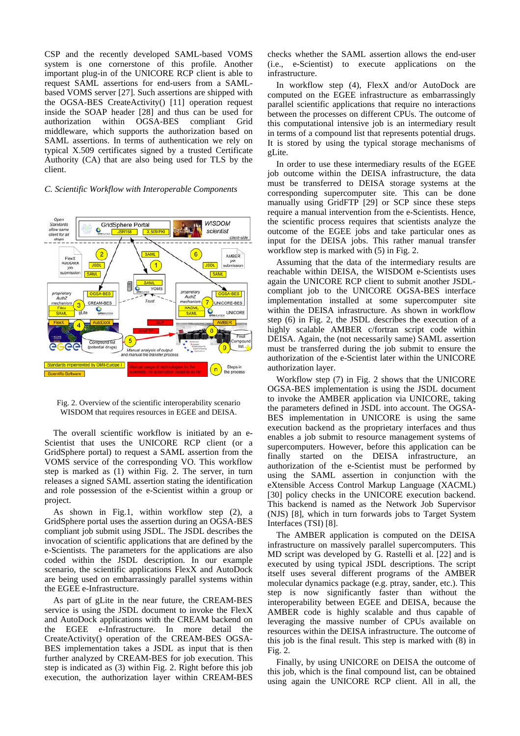CSP and the recently developed SAML-based VOMS system is one cornerstone of this profile. Another important plug-in of the UNICORE RCP client is able to request SAML assertions for end-users from a SAMLbased VOMS server [27]. Such assertions are shipped with the OGSA-BES CreateActivity() [11] operation request inside the SOAP header [28] and thus can be used for authorization within OGSA-BES compliant Grid middleware, which supports the authorization based on SAML assertions. In terms of authentication we rely on typical X.509 certificates signed by a trusted Certificate Authority (CA) that are also being used for TLS by the client.

#### *C. Scientific Workflow with Interoperable Components*



Fig. 2. Overview of the scientific interoperability scenario WISDOM that requires resources in EGEE and DEISA.

The overall scientific workflow is initiated by an e-Scientist that uses the UNICORE RCP client (or a GridSphere portal) to request a SAML assertion from the VOMS service of the corresponding VO. This workflow step is marked as (1) within Fig. 2. The server, in turn releases a signed SAML assertion stating the identification and role possession of the e-Scientist within a group or project.

As shown in Fig.1, within workflow step (2), a GridSphere portal uses the assertion during an OGSA-BES compliant job submit using JSDL. The JSDL describes the invocation of scientific applications that are defined by the e-Scientists. The parameters for the applications are also coded within the JSDL description. In our example scenario, the scientific applications FlexX and AutoDock are being used on embarrassingly parallel systems within the EGEE e-Infrastructure.

As part of gLite in the near future, the CREAM-BES service is using the JSDL document to invoke the FlexX and AutoDock applications with the CREAM backend on the EGEE e-Infrastructure. In more detail the CreateActivity() operation of the CREAM-BES OGSA-BES implementation takes a JSDL as input that is then further analyzed by CREAM-BES for job execution. This step is indicated as (3) within Fig. 2. Right before this job execution, the authorization layer within CREAM-BES checks whether the SAML assertion allows the end-user (i.e., e-Scientist) to execute applications on the infrastructure.

In workflow step (4), FlexX and/or AutoDock are computed on the EGEE infrastructure as embarrassingly parallel scientific applications that require no interactions between the processes on different CPUs. The outcome of this computational intensive job is an intermediary result in terms of a compound list that represents potential drugs. It is stored by using the typical storage mechanisms of gLite.

In order to use these intermediary results of the EGEE job outcome within the DEISA infrastructure, the data must be transferred to DEISA storage systems at the corresponding supercomputer site. This can be done manually using GridFTP [29] or SCP since these steps require a manual intervention from the e-Scientists. Hence, the scientific process requires that scientists analyze the outcome of the EGEE jobs and take particular ones as input for the DEISA jobs. This rather manual transfer workflow step is marked with  $(5)$  in Fig. 2.

Assuming that the data of the intermediary results are reachable within DEISA, the WISDOM e-Scientists uses again the UNICORE RCP client to submit another JSDLcompliant job to the UNICORE OGSA-BES interface implementation installed at some supercomputer site within the DEISA infrastructure. As shown in workflow step (6) in Fig. 2, the JSDL describes the execution of a highly scalable AMBER c/fortran script code within DEISA. Again, the (not necessarily same) SAML assertion must be transferred during the job submit to ensure the authorization of the e-Scientist later within the UNICORE authorization layer.

Workflow step (7) in Fig. 2 shows that the UNICORE OGSA-BES implementation is using the JSDL document to invoke the AMBER application via UNICORE, taking the parameters defined in JSDL into account. The OGSA-BES implementation in UNICORE is using the same execution backend as the proprietary interfaces and thus enables a job submit to resource management systems of supercomputers. However, before this application can be finally started on the DEISA infrastructure, an authorization of the e-Scientist must be performed by using the SAML assertion in conjunction with the eXtensible Access Control Markup Language (XACML) [30] policy checks in the UNICORE execution backend. This backend is named as the Network Job Supervisor (NJS) [8], which in turn forwards jobs to Target System Interfaces (TSI) [8].

The AMBER application is computed on the DEISA infrastructure on massively parallel supercomputers. This MD script was developed by G. Rastelli et al. [22] and is executed by using typical JSDL descriptions. The script itself uses several different programs of the AMBER molecular dynamics package (e.g. ptray, sander, etc.). This step is now significantly faster than without the interoperability between EGEE and DEISA, because the AMBER code is highly scalable and thus capable of leveraging the massive number of CPUs available on resources within the DEISA infrastructure. The outcome of this job is the final result. This step is marked with (8) in Fig. 2.

Finally, by using UNICORE on DEISA the outcome of this job, which is the final compound list, can be obtained using again the UNICORE RCP client. All in all, the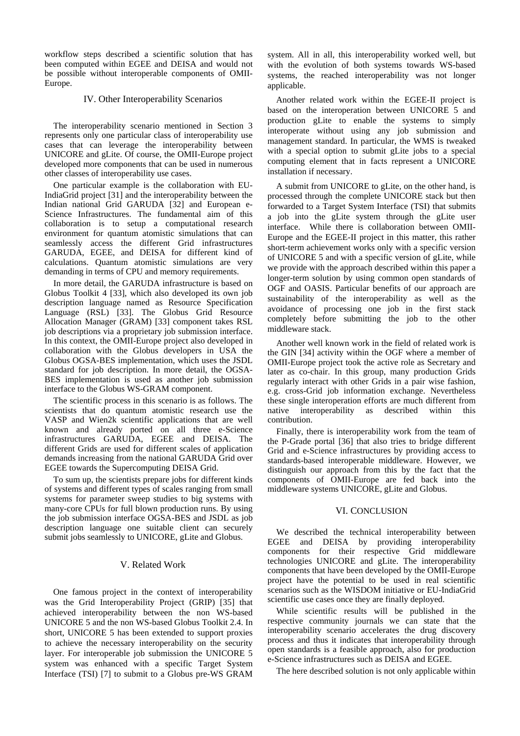workflow steps described a scientific solution that has been computed within EGEE and DEISA and would not be possible without interoperable components of OMII-Europe.

## IV. Other Interoperability Scenarios

The interoperability scenario mentioned in Section 3 represents only one particular class of interoperability use cases that can leverage the interoperability between UNICORE and gLite. Of course, the OMII-Europe project developed more components that can be used in numerous other classes of interoperability use cases.

One particular example is the collaboration with EU-IndiaGrid project [31] and the interoperability between the Indian national Grid GARUDA [32] and European e-Science Infrastructures. The fundamental aim of this collaboration is to setup a computational research environment for quantum atomistic simulations that can seamlessly access the different Grid infrastructures GARUDA, EGEE, and DEISA for different kind of calculations. Quantum atomistic simulations are very demanding in terms of CPU and memory requirements.

In more detail, the GARUDA infrastructure is based on Globus Toolkit 4 [33], which also developed its own job description language named as Resource Specification Language (RSL) [33]. The Globus Grid Resource Allocation Manager (GRAM) [33] component takes RSL job descriptions via a proprietary job submission interface. In this context, the OMII-Europe project also developed in collaboration with the Globus developers in USA the Globus OGSA-BES implementation, which uses the JSDL standard for job description. In more detail, the OGSA-BES implementation is used as another job submission interface to the Globus WS-GRAM component.

The scientific process in this scenario is as follows. The scientists that do quantum atomistic research use the VASP and Wien2k scientific applications that are well known and already ported on all three e-Science infrastructures GARUDA, EGEE and DEISA. The different Grids are used for different scales of application demands increasing from the national GARUDA Grid over EGEE towards the Supercomputing DEISA Grid.

To sum up, the scientists prepare jobs for different kinds of systems and different types of scales ranging from small systems for parameter sweep studies to big systems with many-core CPUs for full blown production runs. By using the job submission interface OGSA-BES and JSDL as job description language one suitable client can securely submit jobs seamlessly to UNICORE, gLite and Globus.

#### V. Related Work

One famous project in the context of interoperability was the Grid Interoperability Project (GRIP) [35] that achieved interoperability between the non WS-based UNICORE 5 and the non WS-based Globus Toolkit 2.4. In short, UNICORE 5 has been extended to support proxies to achieve the necessary interoperability on the security layer. For interoperable job submission the UNICORE 5 system was enhanced with a specific Target System Interface (TSI) [7] to submit to a Globus pre-WS GRAM

system. All in all, this interoperability worked well, but with the evolution of both systems towards WS-based systems, the reached interoperability was not longer applicable.

Another related work within the EGEE-II project is based on the interoperation between UNICORE 5 and production gLite to enable the systems to simply interoperate without using any job submission and management standard. In particular, the WMS is tweaked with a special option to submit gLite jobs to a special computing element that in facts represent a UNICORE installation if necessary.

A submit from UNICORE to gLite, on the other hand, is processed through the complete UNICORE stack but then forwarded to a Target System Interface (TSI) that submits a job into the gLite system through the gLite user interface. While there is collaboration between OMII-Europe and the EGEE-II project in this matter, this rather short-term achievement works only with a specific version of UNICORE 5 and with a specific version of gLite, while we provide with the approach described within this paper a longer-term solution by using common open standards of OGF and OASIS. Particular benefits of our approach are sustainability of the interoperability as well as the avoidance of processing one job in the first stack completely before submitting the job to the other middleware stack.

Another well known work in the field of related work is the GIN [34] activity within the OGF where a member of OMII-Europe project took the active role as Secretary and later as co-chair. In this group, many production Grids regularly interact with other Grids in a pair wise fashion, e.g. cross-Grid job information exchange. Nevertheless these single interoperation efforts are much different from native interoperability as described within this contribution.

Finally, there is interoperability work from the team of the P-Grade portal [36] that also tries to bridge different Grid and e-Science infrastructures by providing access to standards-based interoperable middleware. However, we distinguish our approach from this by the fact that the components of OMII-Europe are fed back into the middleware systems UNICORE, gLite and Globus.

#### VI. CONCLUSION

We described the technical interoperability between EGEE and DEISA by providing interoperability components for their respective Grid middleware technologies UNICORE and gLite. The interoperability components that have been developed by the OMII-Europe project have the potential to be used in real scientific scenarios such as the WISDOM initiative or EU-IndiaGrid scientific use cases once they are finally deployed.

While scientific results will be published in the respective community journals we can state that the interoperability scenario accelerates the drug discovery process and thus it indicates that interoperability through open standards is a feasible approach, also for production e-Science infrastructures such as DEISA and EGEE.

The here described solution is not only applicable within